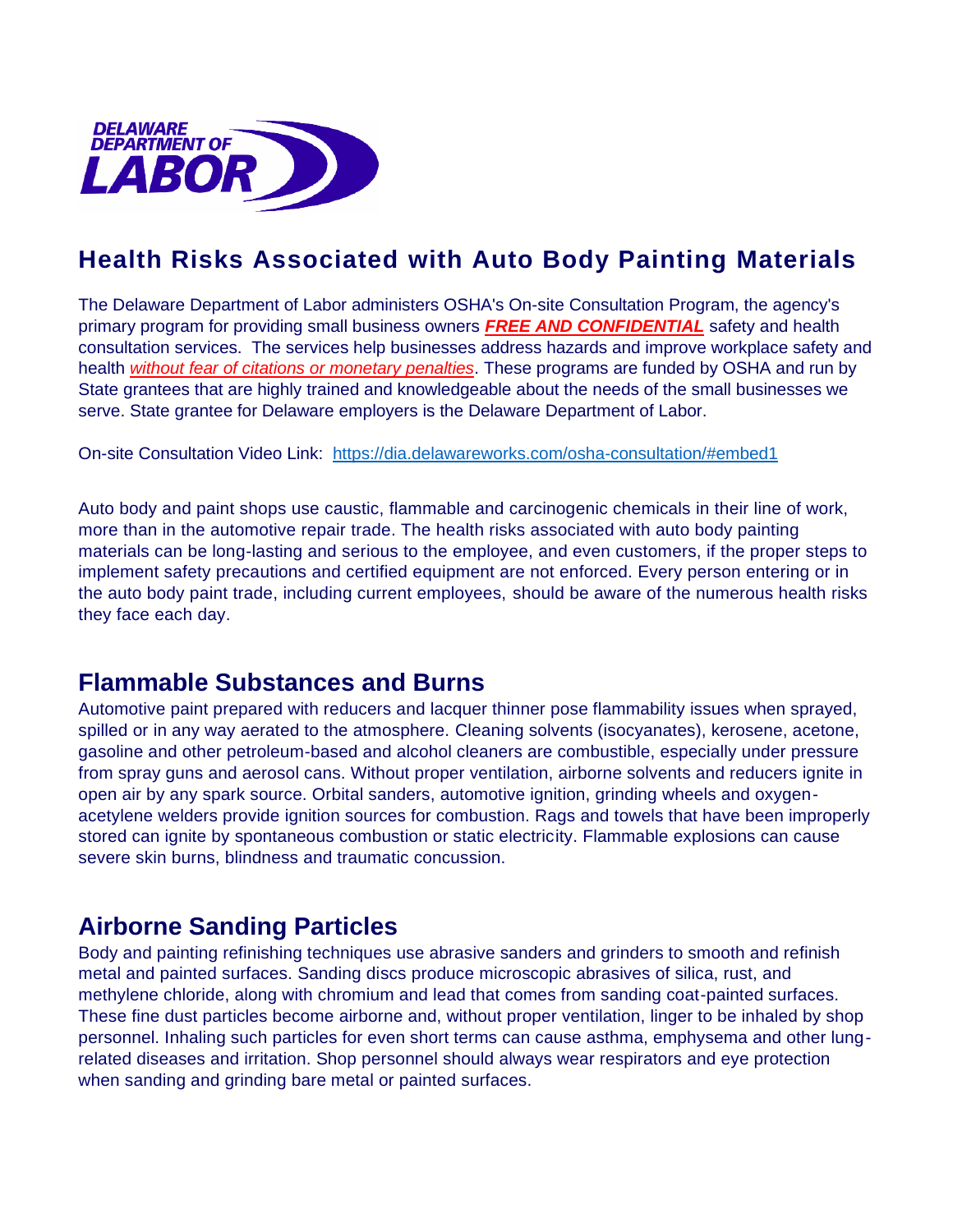

# **Health Risks Associated with Auto Body Painting Materials**

The Delaware Department of Labor administers OSHA's On-site Consultation Program, the agency's primary program for providing small business owners *FREE AND CONFIDENTIAL* safety and health consultation services. The services help businesses address hazards and improve workplace safety and health *without fear of citations or monetary penalties*. These programs are funded by OSHA and run by State grantees that are highly trained and knowledgeable about the needs of the small businesses we serve. State grantee for Delaware employers is the Delaware Department of Labor.

On-site Consultation Video Link: <https://dia.delawareworks.com/osha-consultation/#embed1>

Auto body and paint shops use caustic, flammable and carcinogenic chemicals in their line of work, more than in the automotive repair trade. The health risks associated with auto body painting materials can be long-lasting and serious to the employee, and even customers, if the proper steps to implement safety precautions and certified equipment are not enforced. Every person entering or in the auto body paint trade, including current employees, should be aware of the numerous health risks they face each day.

### **Flammable Substances and Burns**

Automotive paint prepared with reducers and lacquer thinner pose flammability issues when sprayed, spilled or in any way aerated to the atmosphere. Cleaning solvents (isocyanates), kerosene, acetone, gasoline and other petroleum-based and alcohol cleaners are combustible, especially under pressure from spray guns and aerosol cans. Without proper ventilation, airborne solvents and reducers ignite in open air by any spark source. Orbital sanders, automotive ignition, grinding wheels and oxygenacetylene welders provide ignition sources for combustion. Rags and towels that have been improperly stored can ignite by spontaneous combustion or static electricity. Flammable explosions can cause severe skin burns, blindness and traumatic concussion.

# **Airborne Sanding Particles**

Body and painting refinishing techniques use abrasive sanders and grinders to smooth and refinish metal and painted surfaces. Sanding discs produce microscopic abrasives of silica, rust, and methylene chloride, along with chromium and lead that comes from sanding coat-painted surfaces. These fine dust particles become airborne and, without proper ventilation, linger to be inhaled by shop personnel. Inhaling such particles for even short terms can cause asthma, emphysema and other lungrelated diseases and irritation. Shop personnel should always wear respirators and eye protection when sanding and grinding bare metal or painted surfaces.